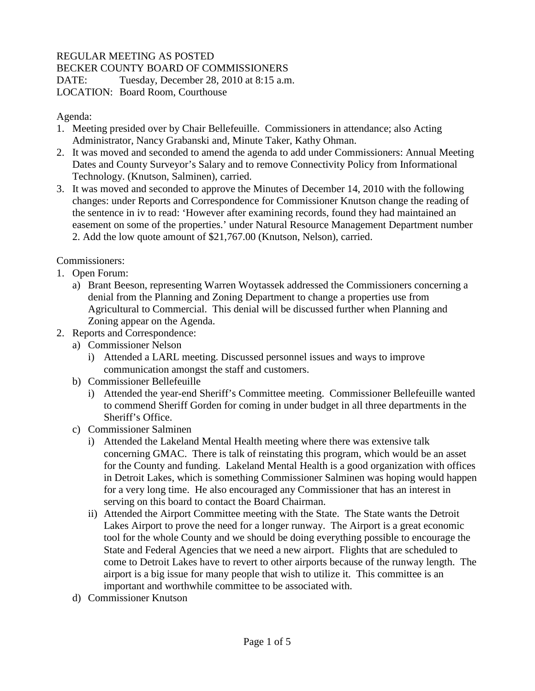## REGULAR MEETING AS POSTED

BECKER COUNTY BOARD OF COMMISSIONERS

DATE: Tuesday, December 28, 2010 at 8:15 a.m.

LOCATION: Board Room, Courthouse

## Agenda:

- 1. Meeting presided over by Chair Bellefeuille. Commissioners in attendance; also Acting Administrator, Nancy Grabanski and, Minute Taker, Kathy Ohman.
- 2. It was moved and seconded to amend the agenda to add under Commissioners: Annual Meeting Dates and County Surveyor's Salary and to remove Connectivity Policy from Informational Technology. (Knutson, Salminen), carried.
- 3. It was moved and seconded to approve the Minutes of December 14, 2010 with the following changes: under Reports and Correspondence for Commissioner Knutson change the reading of the sentence in iv to read: 'However after examining records, found they had maintained an easement on some of the properties.' under Natural Resource Management Department number 2. Add the low quote amount of \$21,767.00 (Knutson, Nelson), carried.

Commissioners:

- 1. Open Forum:
	- a) Brant Beeson, representing Warren Woytassek addressed the Commissioners concerning a denial from the Planning and Zoning Department to change a properties use from Agricultural to Commercial. This denial will be discussed further when Planning and Zoning appear on the Agenda.
- 2. Reports and Correspondence:
	- a) Commissioner Nelson
		- i) Attended a LARL meeting. Discussed personnel issues and ways to improve communication amongst the staff and customers.
	- b) Commissioner Bellefeuille
		- i) Attended the year-end Sheriff's Committee meeting. Commissioner Bellefeuille wanted to commend Sheriff Gorden for coming in under budget in all three departments in the Sheriff's Office.
	- c) Commissioner Salminen
		- i) Attended the Lakeland Mental Health meeting where there was extensive talk concerning GMAC. There is talk of reinstating this program, which would be an asset for the County and funding. Lakeland Mental Health is a good organization with offices in Detroit Lakes, which is something Commissioner Salminen was hoping would happen for a very long time. He also encouraged any Commissioner that has an interest in serving on this board to contact the Board Chairman.
		- ii) Attended the Airport Committee meeting with the State. The State wants the Detroit Lakes Airport to prove the need for a longer runway. The Airport is a great economic tool for the whole County and we should be doing everything possible to encourage the State and Federal Agencies that we need a new airport. Flights that are scheduled to come to Detroit Lakes have to revert to other airports because of the runway length. The airport is a big issue for many people that wish to utilize it. This committee is an important and worthwhile committee to be associated with.
	- d) Commissioner Knutson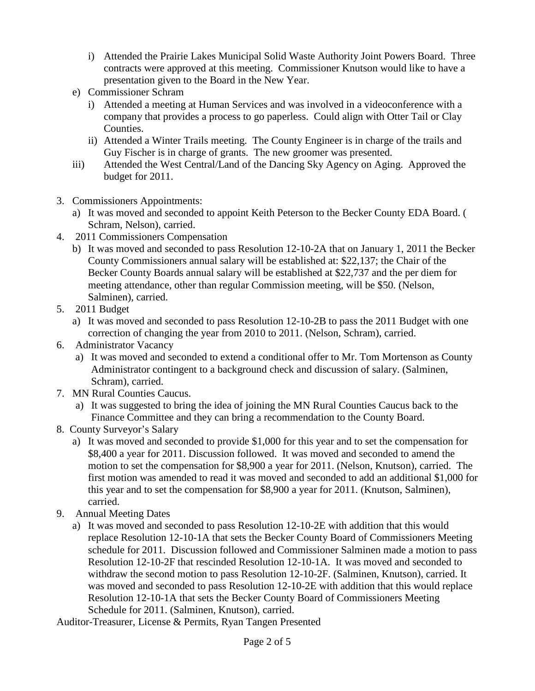- i) Attended the Prairie Lakes Municipal Solid Waste Authority Joint Powers Board. Three contracts were approved at this meeting. Commissioner Knutson would like to have a presentation given to the Board in the New Year.
- e) Commissioner Schram
	- i) Attended a meeting at Human Services and was involved in a videoconference with a company that provides a process to go paperless. Could align with Otter Tail or Clay Counties.
	- ii) Attended a Winter Trails meeting. The County Engineer is in charge of the trails and Guy Fischer is in charge of grants. The new groomer was presented.
- iii) Attended the West Central/Land of the Dancing Sky Agency on Aging. Approved the budget for 2011.
- 3. Commissioners Appointments:
	- a) It was moved and seconded to appoint Keith Peterson to the Becker County EDA Board. ( Schram, Nelson), carried.
- 4. 2011 Commissioners Compensation
	- b) It was moved and seconded to pass Resolution 12-10-2A that on January 1, 2011 the Becker County Commissioners annual salary will be established at: \$22,137; the Chair of the Becker County Boards annual salary will be established at \$22,737 and the per diem for meeting attendance, other than regular Commission meeting, will be \$50. (Nelson, Salminen), carried.
- 5. 2011 Budget
	- a) It was moved and seconded to pass Resolution 12-10-2B to pass the 2011 Budget with one correction of changing the year from 2010 to 2011. (Nelson, Schram), carried.
- 6. Administrator Vacancy
	- a) It was moved and seconded to extend a conditional offer to Mr. Tom Mortenson as County Administrator contingent to a background check and discussion of salary. (Salminen, Schram), carried.
- 7. MN Rural Counties Caucus.
	- a) It was suggested to bring the idea of joining the MN Rural Counties Caucus back to the Finance Committee and they can bring a recommendation to the County Board.
- 8. County Surveyor's Salary
	- a) It was moved and seconded to provide \$1,000 for this year and to set the compensation for \$8,400 a year for 2011. Discussion followed. It was moved and seconded to amend the motion to set the compensation for \$8,900 a year for 2011. (Nelson, Knutson), carried. The first motion was amended to read it was moved and seconded to add an additional \$1,000 for this year and to set the compensation for \$8,900 a year for 2011. (Knutson, Salminen), carried.
- 9. Annual Meeting Dates
	- a) It was moved and seconded to pass Resolution 12-10-2E with addition that this would replace Resolution 12-10-1A that sets the Becker County Board of Commissioners Meeting schedule for 2011. Discussion followed and Commissioner Salminen made a motion to pass Resolution 12-10-2F that rescinded Resolution 12-10-1A. It was moved and seconded to withdraw the second motion to pass Resolution 12-10-2F. (Salminen, Knutson), carried. It was moved and seconded to pass Resolution 12-10-2E with addition that this would replace Resolution 12-10-1A that sets the Becker County Board of Commissioners Meeting Schedule for 2011. (Salminen, Knutson), carried.

Auditor-Treasurer, License & Permits, Ryan Tangen Presented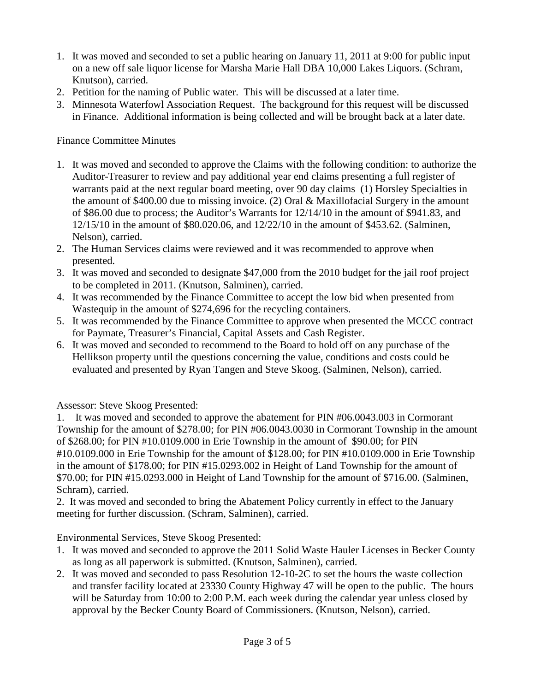- 1. It was moved and seconded to set a public hearing on January 11, 2011 at 9:00 for public input on a new off sale liquor license for Marsha Marie Hall DBA 10,000 Lakes Liquors. (Schram, Knutson), carried.
- 2. Petition for the naming of Public water. This will be discussed at a later time.
- 3. Minnesota Waterfowl Association Request. The background for this request will be discussed in Finance. Additional information is being collected and will be brought back at a later date.

## Finance Committee Minutes

- 1. It was moved and seconded to approve the Claims with the following condition: to authorize the Auditor-Treasurer to review and pay additional year end claims presenting a full register of warrants paid at the next regular board meeting, over 90 day claims (1) Horsley Specialties in the amount of \$400.00 due to missing invoice. (2) Oral & Maxillofacial Surgery in the amount of \$86.00 due to process; the Auditor's Warrants for 12/14/10 in the amount of \$941.83, and 12/15/10 in the amount of \$80.020.06, and 12/22/10 in the amount of \$453.62. (Salminen, Nelson), carried.
- 2. The Human Services claims were reviewed and it was recommended to approve when presented.
- 3. It was moved and seconded to designate \$47,000 from the 2010 budget for the jail roof project to be completed in 2011. (Knutson, Salminen), carried.
- 4. It was recommended by the Finance Committee to accept the low bid when presented from Wastequip in the amount of \$274,696 for the recycling containers.
- 5. It was recommended by the Finance Committee to approve when presented the MCCC contract for Paymate, Treasurer's Financial, Capital Assets and Cash Register.
- 6. It was moved and seconded to recommend to the Board to hold off on any purchase of the Hellikson property until the questions concerning the value, conditions and costs could be evaluated and presented by Ryan Tangen and Steve Skoog. (Salminen, Nelson), carried.

Assessor: Steve Skoog Presented:

1. It was moved and seconded to approve the abatement for PIN #06.0043.003 in Cormorant Township for the amount of \$278.00; for PIN #06.0043.0030 in Cormorant Township in the amount of \$268.00; for PIN #10.0109.000 in Erie Township in the amount of \$90.00; for PIN #10.0109.000 in Erie Township for the amount of \$128.00; for PIN #10.0109.000 in Erie Township in the amount of \$178.00; for PIN #15.0293.002 in Height of Land Township for the amount of \$70.00; for PIN #15.0293.000 in Height of Land Township for the amount of \$716.00. (Salminen, Schram), carried.

2. It was moved and seconded to bring the Abatement Policy currently in effect to the January meeting for further discussion. (Schram, Salminen), carried.

Environmental Services, Steve Skoog Presented:

- 1. It was moved and seconded to approve the 2011 Solid Waste Hauler Licenses in Becker County as long as all paperwork is submitted. (Knutson, Salminen), carried.
- 2. It was moved and seconded to pass Resolution 12-10-2C to set the hours the waste collection and transfer facility located at 23330 County Highway 47 will be open to the public. The hours will be Saturday from 10:00 to 2:00 P.M. each week during the calendar year unless closed by approval by the Becker County Board of Commissioners. (Knutson, Nelson), carried.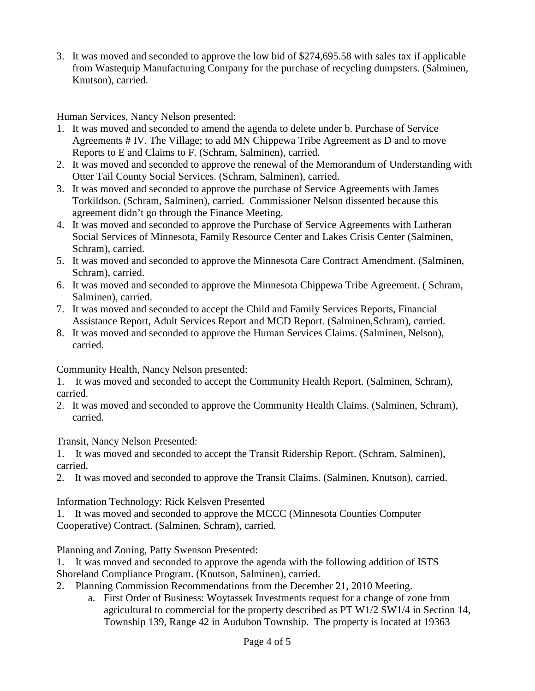3. It was moved and seconded to approve the low bid of \$274,695.58 with sales tax if applicable from Wastequip Manufacturing Company for the purchase of recycling dumpsters. (Salminen, Knutson), carried.

Human Services, Nancy Nelson presented:

- 1. It was moved and seconded to amend the agenda to delete under b. Purchase of Service Agreements # IV. The Village; to add MN Chippewa Tribe Agreement as D and to move Reports to E and Claims to F. (Schram, Salminen), carried.
- 2. It was moved and seconded to approve the renewal of the Memorandum of Understanding with Otter Tail County Social Services. (Schram, Salminen), carried.
- 3. It was moved and seconded to approve the purchase of Service Agreements with James Torkildson. (Schram, Salminen), carried. Commissioner Nelson dissented because this agreement didn't go through the Finance Meeting.
- 4. It was moved and seconded to approve the Purchase of Service Agreements with Lutheran Social Services of Minnesota, Family Resource Center and Lakes Crisis Center (Salminen, Schram), carried.
- 5. It was moved and seconded to approve the Minnesota Care Contract Amendment. (Salminen, Schram), carried.
- 6. It was moved and seconded to approve the Minnesota Chippewa Tribe Agreement. ( Schram, Salminen), carried.
- 7. It was moved and seconded to accept the Child and Family Services Reports, Financial Assistance Report, Adult Services Report and MCD Report. (Salminen,Schram), carried.
- 8. It was moved and seconded to approve the Human Services Claims. (Salminen, Nelson), carried.

Community Health, Nancy Nelson presented:

1. It was moved and seconded to accept the Community Health Report. (Salminen, Schram), carried.

2. It was moved and seconded to approve the Community Health Claims. (Salminen, Schram), carried.

Transit, Nancy Nelson Presented:

1. It was moved and seconded to accept the Transit Ridership Report. (Schram, Salminen), carried.

2. It was moved and seconded to approve the Transit Claims. (Salminen, Knutson), carried.

Information Technology: Rick Kelsven Presented

1. It was moved and seconded to approve the MCCC (Minnesota Counties Computer Cooperative) Contract. (Salminen, Schram), carried.

Planning and Zoning, Patty Swenson Presented:

1. It was moved and seconded to approve the agenda with the following addition of ISTS Shoreland Compliance Program. (Knutson, Salminen), carried.

- 2. Planning Commission Recommendations from the December 21, 2010 Meeting.
	- a. First Order of Business: Woytassek Investments request for a change of zone from agricultural to commercial for the property described as PT W1/2 SW1/4 in Section 14, Township 139, Range 42 in Audubon Township. The property is located at 19363